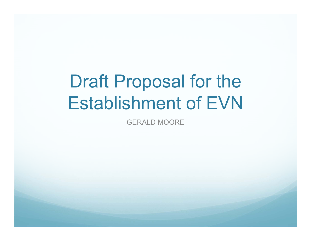# Draft Proposal for the Establishment of EVN

GERALD MOORE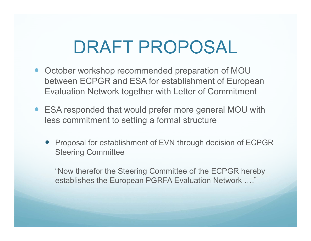- $\bullet$  October workshop recommended preparation of MOU between ECPGR and ESA for establishment of European Evaluation Network together with Letter of Commitment
- $\bullet$  ESA responded that would prefer more general MOU with less commitment to setting a formal structure
	- $\bullet$  Proposal for establishment of EVN through decision of ECPGR Steering Committee

"Now therefor the Steering Committee of the ECPGR hereby establishes the European PGRFA Evaluation Network …."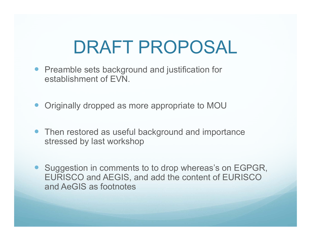- Preamble sets background and justification for establishment of EVN.
- $\bullet$ Originally dropped as more appropriate to MOU
- Then restored as useful background and importance stressed by last workshop
- $\bullet$  Suggestion in comments to to drop whereas's on EGPGR, EURISCO and AEGIS, and add the content of EURISCO and AeGIS as footnotes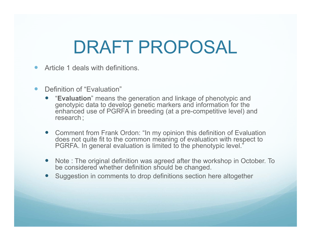- $\bullet$ Article 1 deals with definitions.
- $\bullet$  Definition of "Evaluation"
	- "**Evaluation**" means the generation and linkage of phenotypic and genotypic data to develop genetic markers and information for the enhanced use of PGRFA in breeding (at a pre-competitive level) and research ;
	- Comment from Frank Ordon: "In my opinion this definition of Evaluation does not quite fit to the common meaning of evaluation with respect to PGRFA. In general evaluation is limited to the phenotypic level."
	- Note : The original definition was agreed after the workshop in October. To be considered whether definition should be changed.
	- Suggestion in comments to drop definitions section here altogether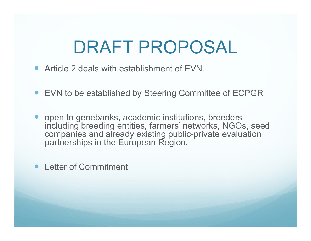- Article 2 deals with establishment of EVN.
- EVN to be established by Steering Committee of ECPGR
- $\bullet$  open to genebanks, academic institutions, breeders including breeding entities, farmers' networks, NGOs, seed companies and already existing public-private evaluation partnerships in the European Region.
- $\bullet$ Letter of Commitment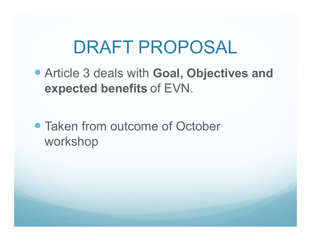Article 3 deals with **Goal, Objectives and expected benefits** of EVN.

• Taken from outcome of October workshop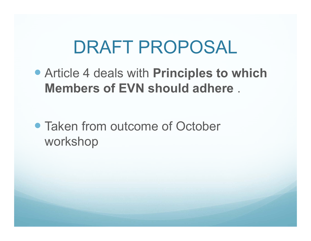Article 4 deals with **Principles to which Members of EVN should adhere** .

• Taken from outcome of October workshop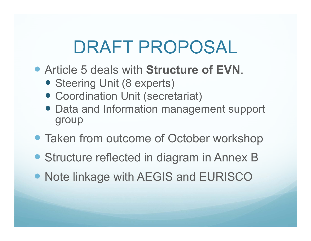- Article 5 deals with **Structure of EVN**.
	- Steering Unit (8 experts)
	- Coordination Unit (secretariat)
	- Data and Information management support group
- Taken from outcome of October workshop
- Structure reflected in diagram in Annex B
- Note linkage with AEGIS and EURISCO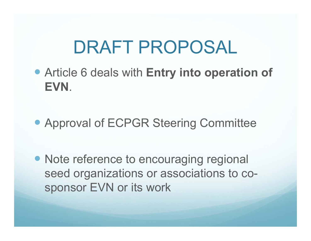- Article 6 deals with **Entry into operation of EVN**.
- Approval of ECPGR Steering Committee
- Note reference to encouraging regional seed organizations or associations to cosponsor EVN or its work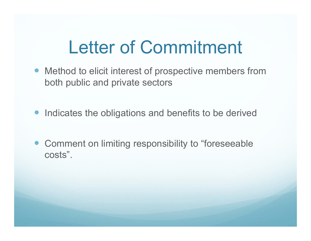### Letter of Commitment

- $\bullet$  Method to elicit interest of prospective members from both public and private sectors
- Indicates the obligations and benefits to be derived
- Comment on limiting responsibility to "foreseeable costs".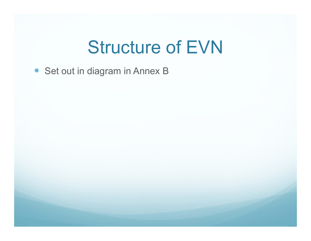#### Structure of EVN

• Set out in diagram in Annex B